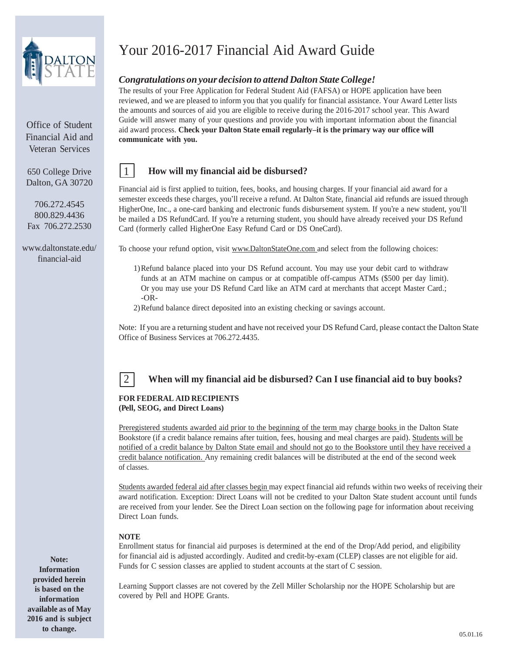

Office of Student Financial Aid and Veteran Services

650 College Drive Dalton, GA 30720

706.272.4545 800.829.4436 Fax 706.272.2530

[www.daltonstate.edu/](http://www.daltonstate.edu/) financial-aid

# Your 2016-2017 Financial Aid Award Guide

### *Congratulations on your decision to attend Dalton StateCollege!*

The results of your Free Application for Federal Student Aid (FAFSA) or HOPE application have been reviewed, and we are pleased to inform you that you qualify for financial assistance. Your Award Letter lists the amounts and sources of aid you are eligible to receive during the 2016-2017 school year. This Award Guide will answer many of your questions and provide you with important information about the financial aid award process. **Check your Dalton State email regularly–it is the primary way our office will communicate with you.**

### 1 **How will my financial aid be disbursed?**

Financial aid is first applied to tuition, fees, books, and housing charges. If your financial aid award for a semester exceeds these charges, you'll receive a refund. At Dalton State, financial aid refunds are issued through HigherOne, Inc., a one-card banking and electronic funds disbursement system. If you're a new student, you'll be mailed a DS RefundCard. If you're a returning student, you should have already received your DS Refund Card (formerly called HigherOne Easy Refund Card or DS OneCard).

To choose your refund option, visit [www.DaltonStateOne.com](http://www.daltonstateone.com/) and select from the following choices:

- 1)Refund balance placed into your DS Refund account. You may use your debit card to withdraw funds at an ATM machine on campus or at compatible off-campus ATMs (\$500 per day limit). Or you may use your DS Refund Card like an ATM card at merchants that accept Master Card.; -OR-
- 2)Refund balance direct deposited into an existing checking or savings account.

Note: If you are a returning student and have not received your DS Refund Card, please contact the Dalton State Office of Business Services at 706.272.4435.



### 2 **When will my financial aid be disbursed? Can I use financial aid to buy books?**

#### **FOR FEDERAL AID RECIPIENTS (Pell, SEOG, and Direct Loans)**

Preregistered students awarded aid prior to the beginning of the term may charge books in the Dalton State Bookstore (if a credit balance remains after tuition, fees, housing and meal charges are paid). Students will be notified of a credit balance by Dalton State email and should not go to the Bookstore until they have received a credit balance notification. Any remaining credit balances will be distributed at the end of the second week of classes.

Students awarded federal aid after classes begin may expect financial aid refunds within two weeks of receiving their award notification. Exception: Direct Loans will not be credited to your Dalton State student account until funds are received from your lender. See the Direct Loan section on the following page for information about receiving Direct Loan funds.

### **NOTE**

Enrollment status for financial aid purposes is determined at the end of the Drop/Add period, and eligibility for financial aid is adjusted accordingly. Audited and credit-by-exam (CLEP) classes are not eligible for aid. Funds for C session classes are applied to student accounts at the start of C session.

Learning Support classes are not covered by the Zell Miller Scholarship nor the HOPE Scholarship but are covered by Pell and HOPE Grants.

**Note: Information provided herein is based on the information available as of May 2016 and is subject to change.**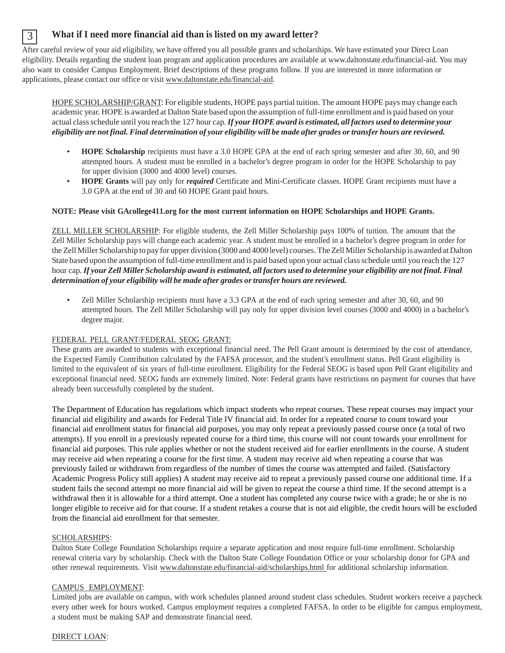## 3 **What if I need more financial aid than is listed on my award letter?**

After careful review of your aid eligibility, we have offered you all possible grants and scholarships. We have estimated your Direct Loan eligibility. Details regarding the student loan program and application procedures are available at [www.daltonstate.edu/financial-aid. Y](http://www.daltonstate.edu/financial-aid)ou may also want to consider Campus Employment. Brief descriptions of these programs follow. If you are interested in more information or applications, please contact our office or visit [www.daltonstate.edu/financial-aid.](http://www.daltonstate.edu/financial-aid)

HOPE SCHOLARSHIP/GRANT: For eligible students, HOPE pays partial tuition. The amount HOPE pays may change each academic year. HOPE is awarded at Dalton State based upon the assumption of full-time enrollment and is paid based on your actual classschedule until you reach the 127 hour cap.*If your HOPE award is estimated, all factors used to determine your* eligibility are not final. Final determination of your eligibility will be made after grades or transfer hours are reviewed.

- **HOPE Scholarship** recipients must have a 3.0 HOPE GPA at the end of each spring semester and after 30, 60, and 90 attempted hours. A student must be enrolled in a bachelor's degree program in order for the HOPE Scholarship to pay for upper division (3000 and 4000 level) courses.
- **HOPE Grants** will pay only for *required* Certificate and Mini-Certificate classes. HOPE Grant recipients must have a 3.0 GPA at the end of 30 and 60 HOPE Grant paid hours.

### **NOTE: Please visit GAcollege411.org for the most current information on HOPE Scholarships and HOPE Grants.**

ZELL MILLER SCHOLARSHIP: For eligible students, the Zell Miller Scholarship pays 100% of tuition. The amount that the Zell Miller Scholarship pays will change each academic year. A student must be enrolled in a bachelor's degree program in order for the Zell Miller Scholarship to pay for upper division (3000 and 4000 level) courses. The Zell Miller Scholarship is awarded at Dalton State based upon the assumption offull-time enrollment and is paid based upon your actual classschedule until you reach the 127 hour cap. If your Zell Miller Scholarship award is estimated, all factors used to determine your eligibility are not final. Final *determination of your eligibility will be made after grades ortransfer hours are reviewed.*

• Zell Miller Scholarship recipients must have a 3.3 GPA at the end of each spring semester and after 30, 60, and 90 attempted hours. The Zell Miller Scholarship will pay only for upper division level courses (3000 and 4000) in a bachelor's degree major.

### FEDERAL PELL GRANT/FEDERAL SEOG GRANT:

These grants are awarded to students with exceptional financial need. The Pell Grant amount is determined by the cost of attendance, the Expected Family Contribution calculated by the FAFSA processor, and the student's enrollment status. Pell Grant eligibility is limited to the equivalent of six years of full-time enrollment. Eligibility for the Federal SEOG is based upon Pell Grant eligibility and exceptional financial need. SEOG funds are extremely limited. Note: Federal grants have restrictions on payment for courses that have already been successfully completed by the student.

The Department of Education has regulations which impact students who repeat courses. These repeat courses may impact your financial aid eligibility and awards for Federal Title IV financial aid. In order for a repeated course to count toward your financial aid enrollment status for financial aid purposes, you may only repeat a previously passed course once (a total of two attempts). If you enroll in a previously repeated course for a third time, this course will not count towards your enrollment for financial aid purposes. This rule applies whether or not the student received aid for earlier enrollments in the course. A student may receive aid when repeating a course for the first time. A student may receive aid when repeating a course that was previously failed or withdrawn from regardless of the number of times the course was attempted and failed. (Satisfactory Academic Progress Policy still applies) A student may receive aid to repeat a previously passed course one additional time. If a student fails the second attempt no more financial aid will be given to repeat the course a third time. If the second attempt is a withdrawal then it is allowable for a third attempt. One a student has completed any course twice with a grade; he or she is no longer eligible to receive aid for that course. If a student retakes a course that is not aid eligible, the credit hours will be excluded from the financial aid enrollment for that semester.

### SCHOLARSHIPS:

Dalton State College Foundation Scholarships require a separate application and most require full-time enrollment. Scholarship renewal criteria vary by scholarship. Check with the Dalton State College Foundation Office or your scholarship donor for GPA and other renewal requirements. Visit [www.daltonstate.edu/financial-aid/scholarships.html](http://www.daltonstate.edu/financial-aid/scholarships.html) for additional scholarship information.

### CAMPUS EMPLOYMENT:

Limited jobs are available on campus, with work schedules planned around student class schedules. Student workers receive a paycheck every other week for hours worked. Campus employment requires a completed FAFSA. In order to be eligible for campus employment, a student must be making SAP and demonstrate financial need.

DIRECT LOAN: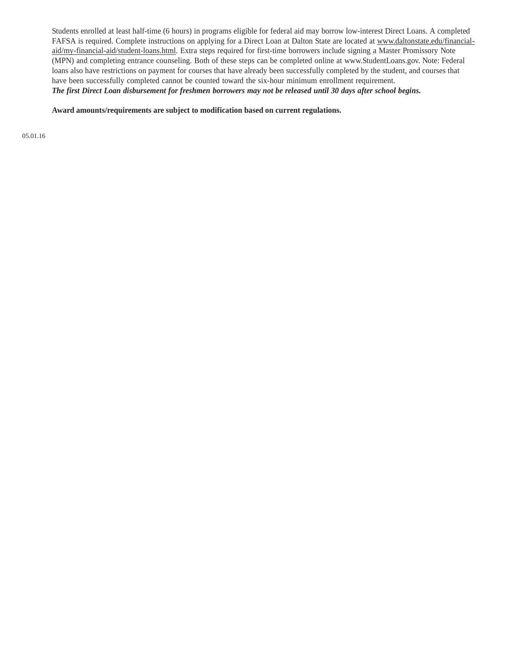Students enrolled at least half-time (6 hours) in programs eligible for federal aid may borrow low-interest Direct Loans. A completed FAFSA is required. Complete instructions on applying for a Direct Loan at Dalton State are located at [www.daltonstate.edu/financial](http://www.daltonstate.edu/financial-)aid/my-financial-aid/student-loans.html. Extra steps required for first-time borrowers include signing a Master Promissory Note (MPN) and completing entrance counseling. Both of these steps can be completed online at [www.StudentLoans.gov.](http://www.studentloans.gov/) Note: Federal loans also have restrictions on payment for courses that have already been successfully completed by the student, and courses that have been successfully completed cannot be counted toward the six-hour minimum enrollment requirement. The first Direct Loan disbursement for freshmen borrowers may not be released until 30 days after school begins.

**Award amounts/requirements are subject to modification based on current regulations.**

05.01.16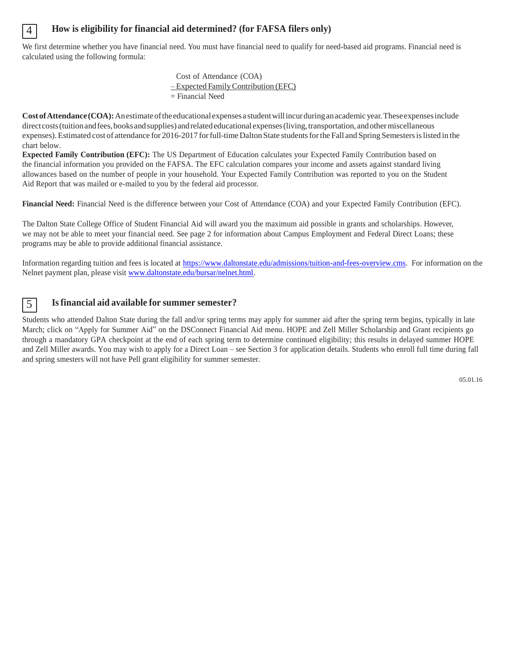### 4 **How is eligibility for financial aid determined? (for FAFSA filers only)**

We first determine whether you have financial need. You must have financial need to qualify for need-based aid programs. Financial need is calculated using the following formula:

> Cost of Attendance (COA) – Expected FamilyContribution (EFC) = Financial Need

**Cost of Attendance (COA):** An estimate of the educational expenses a student will incurduring an academic year. These expenses include direct costs (tuition and fees, books and supplies) and related educational expenses (living, transportation, and other miscellaneous expenses).Estimated cost of attendance for 2016-2017 forfull-time Dalton State studentsforthe Fall and Spring Semestersislisted in the chart below.

**Expected Family Contribution (EFC):** The US Department of Education calculates your Expected Family Contribution based on the financial information you provided on the FAFSA. The EFC calculation compares your income and assets against standard living allowances based on the number of people in your household. Your Expected Family Contribution was reported to you on the Student Aid Report that was mailed or e-mailed to you by the federal aid processor.

**Financial Need:** Financial Need is the difference between your Cost of Attendance (COA) and your Expected Family Contribution (EFC).

The Dalton State College Office of Student Financial Aid will award you the maximum aid possible in grants and scholarships. However, we may not be able to meet your financial need. See page 2 for information about Campus Employment and Federal Direct Loans; these programs may be able to provide additional financial assistance.

Information regarding tuition and fees is located at [https://www.daltonstate.edu/admissions/tuition-and-fees-overview.cms.](https://www.daltonstate.edu/admissions/tuition-and-fees-overview.cms) For information on the Nelnet payment plan, please visi[t www.daltonstate.edu/bursar/nelnet.html.](www.daltonstate.edu/bursar/nelnet.html)

### 5 **Isfinancial aid available for summer semester?**

Students who attended Dalton State during the fall and/or spring terms may apply for summer aid after the spring term begins, typically in late March; click on "Apply for Summer Aid" on the DSConnect Financial Aid menu. HOPE and Zell Miller Scholarship and Grant recipients go through a mandatory GPA checkpoint at the end of each spring term to determine continued eligibility; this results in delayed summer HOPE and Zell Miller awards. You may wish to apply for a Direct Loan – see Section 3 for application details. Students who enroll full time during fall and spring smesters will not have Pell grant eligibility for summer semester.

05.01.16